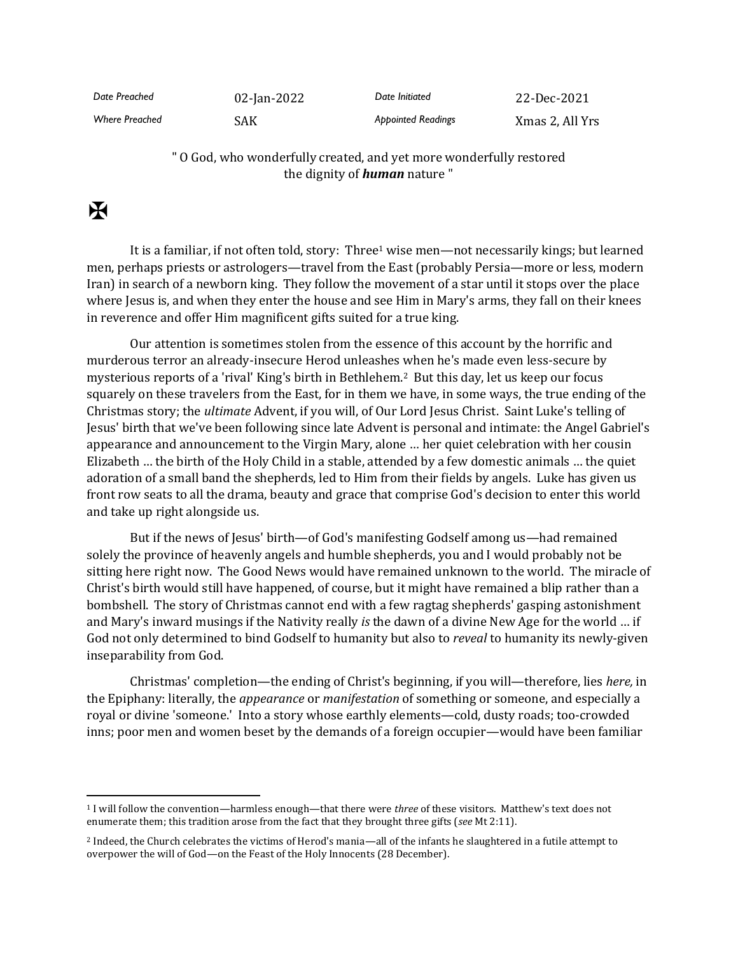| Date Preached         | 02-Jan-2022 | Date Initiated            | 22-Dec-2021     |
|-----------------------|-------------|---------------------------|-----------------|
| <b>Where Preached</b> | <b>SAK</b>  | <b>Appointed Readings</b> | Xmas 2, All Yrs |

## " O God, who wonderfully created, and yet more wonderfully restored the dignity of *human* nature "

## $\mathbf F$

It is a familiar, if not often told, story: Three<sup>1</sup> wise men—not necessarily kings; but learned men, perhaps priests or astrologers—travel from the East (probably Persia—more or less, modern Iran) in search of a newborn king. They follow the movement of a star until it stops over the place where Jesus is, and when they enter the house and see Him in Mary's arms, they fall on their knees in reverence and offer Him magnificent gifts suited for a true king.

Our attention is sometimes stolen from the essence of this account by the horrific and murderous terror an already-insecure Herod unleashes when he's made even less-secure by mysterious reports of a 'rival' King's birth in Bethlehem.2 But this day, let us keep our focus squarely on these travelers from the East, for in them we have, in some ways, the true ending of the Christmas story; the *ultimate* Advent, if you will, of Our Lord Jesus Christ. Saint Luke's telling of Jesus' birth that we've been following since late Advent is personal and intimate: the Angel Gabriel's appearance and announcement to the Virgin Mary, alone … her quiet celebration with her cousin Elizabeth … the birth of the Holy Child in a stable, attended by a few domestic animals … the quiet adoration of a small band the shepherds, led to Him from their fields by angels. Luke has given us front row seats to all the drama, beauty and grace that comprise God's decision to enter this world and take up right alongside us.

But if the news of Jesus' birth—of God's manifesting Godself among us—had remained solely the province of heavenly angels and humble shepherds, you and I would probably not be sitting here right now. The Good News would have remained unknown to the world. The miracle of Christ's birth would still have happened, of course, but it might have remained a blip rather than a bombshell. The story of Christmas cannot end with a few ragtag shepherds' gasping astonishment and Mary's inward musings if the Nativity really *is* the dawn of a divine New Age for the world … if God not only determined to bind Godself to humanity but also to *reveal* to humanity its newly-given inseparability from God.

Christmas' completion—the ending of Christ's beginning, if you will—therefore, lies *here,* in the Epiphany: literally, the *appearance* or *manifestation* of something or someone, and especially a royal or divine 'someone.' Into a story whose earthly elements—cold, dusty roads; too-crowded inns; poor men and women beset by the demands of a foreign occupier—would have been familiar

<sup>1</sup> I will follow the convention—harmless enough—that there were *three* of these visitors. Matthew's text does not enumerate them; this tradition arose from the fact that they brought three gifts (*see* Mt 2:11).

<sup>2</sup> Indeed, the Church celebrates the victims of Herod's mania—all of the infants he slaughtered in a futile attempt to overpower the will of God—on the Feast of the Holy Innocents (28 December).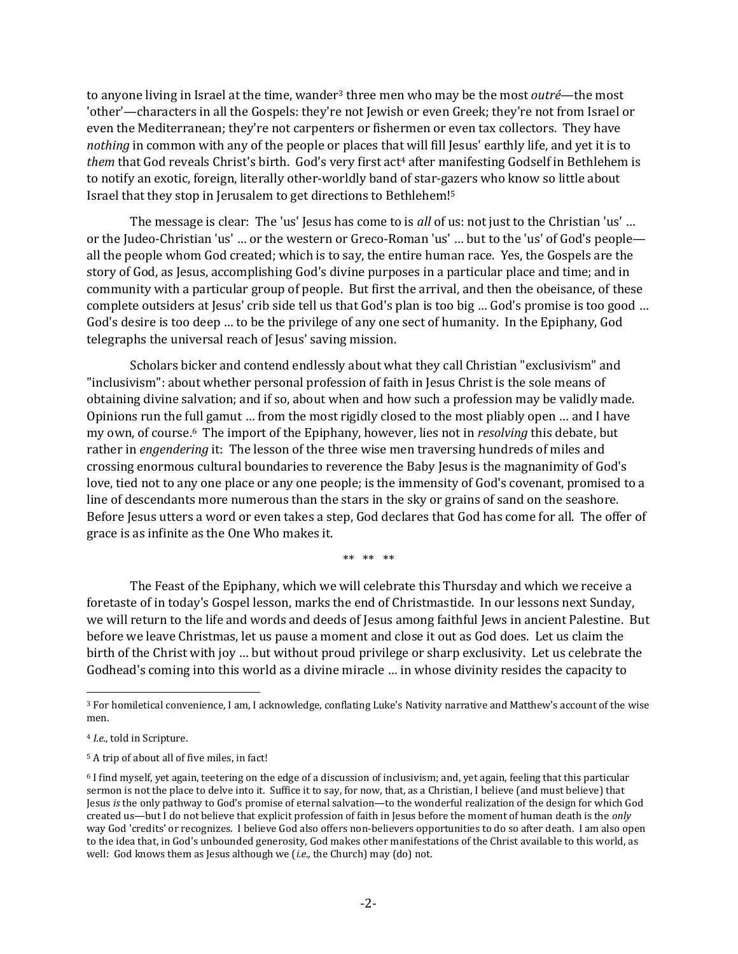to anyone living in Israel at the time, wander<sup>3</sup> three men who may be the most *outré*—the most 'other'—characters in all the Gospels: they're not Jewish or even Greek; they're not from Israel or even the Mediterranean; they're not carpenters or fishermen or even tax collectors. They have *nothing* in common with any of the people or places that will fill Jesus' earthly life, and yet it is to *them* that God reveals Christ's birth. God's very first act<sup>4</sup> after manifesting Godself in Bethlehem is to notify an exotic, foreign, literally other-worldly band of star-gazers who know so little about Israel that they stop in Jerusalem to get directions to Bethlehem!<sup>5</sup>

The message is clear: The 'us' Jesus has come to is *all* of us: not just to the Christian 'us' ... or the Judeo-Christian 'us' … or the western or Greco-Roman 'us' … but to the 'us' of God's people all the people whom God created; which is to say, the entire human race. Yes, the Gospels are the story of God, as Jesus, accomplishing God's divine purposes in a particular place and time; and in community with a particular group of people. But first the arrival, and then the obeisance, of these complete outsiders at Jesus' crib side tell us that God's plan is too big … God's promise is too good … God's desire is too deep … to be the privilege of any one sect of humanity. In the Epiphany, God telegraphs the universal reach of Jesus' saving mission.

Scholars bicker and contend endlessly about what they call Christian "exclusivism" and "inclusivism": about whether personal profession of faith in Jesus Christ is the sole means of obtaining divine salvation; and if so, about when and how such a profession may be validly made. Opinions run the full gamut … from the most rigidly closed to the most pliably open … and I have my own, of course.<sup>6</sup> The import of the Epiphany, however, lies not in *resolving* this debate, but rather in *engendering* it: The lesson of the three wise men traversing hundreds of miles and crossing enormous cultural boundaries to reverence the Baby Jesus is the magnanimity of God's love, tied not to any one place or any one people; is the immensity of God's covenant, promised to a line of descendants more numerous than the stars in the sky or grains of sand on the seashore. Before Jesus utters a word or even takes a step, God declares that God has come for all. The offer of grace is as infinite as the One Who makes it.

\*\* \*\* \*\*

The Feast of the Epiphany, which we will celebrate this Thursday and which we receive a foretaste of in today's Gospel lesson, marks the end of Christmastide. In our lessons next Sunday, we will return to the life and words and deeds of Jesus among faithful Jews in ancient Palestine. But before we leave Christmas, let us pause a moment and close it out as God does. Let us claim the birth of the Christ with joy … but without proud privilege or sharp exclusivity. Let us celebrate the Godhead's coming into this world as a divine miracle … in whose divinity resides the capacity to

<sup>3</sup> For homiletical convenience, I am, I acknowledge, conflating Luke's Nativity narrative and Matthew's account of the wise men.

<sup>4</sup> *I.e.,* told in Scripture.

<sup>5</sup> A trip of about all of five miles, in fact!

<sup>6</sup> I find myself, yet again, teetering on the edge of a discussion of inclusivism; and, yet again, feeling that this particular sermon is not the place to delve into it. Suffice it to say, for now, that, as a Christian, I believe (and must believe) that Jesus *is* the only pathway to God's promise of eternal salvation—to the wonderful realization of the design for which God created us—but I do not believe that explicit profession of faith in Jesus before the moment of human death is the *only* way God 'credits' or recognizes. I believe God also offers non-believers opportunities to do so after death. I am also open to the idea that, in God's unbounded generosity, God makes other manifestations of the Christ available to this world, as well: God knows them as Jesus although we (*i.e.,* the Church) may (do) not.